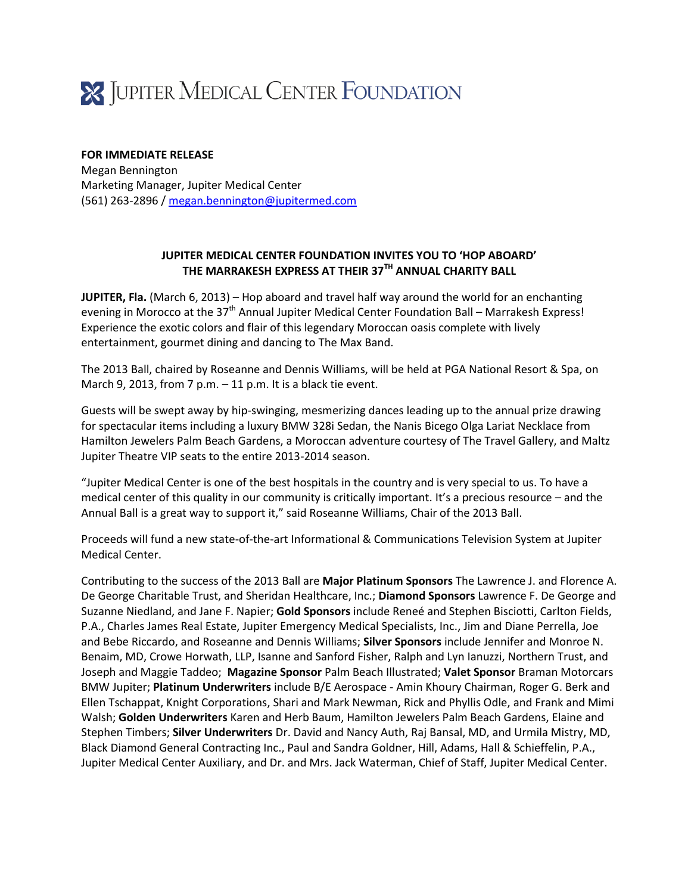

## **FOR IMMEDIATE RELEASE**

Megan Bennington Marketing Manager, Jupiter Medical Center (561) 263-2896 [/ megan.bennington@jupitermed.com](mailto:megan.bennington@jupitermed.com)

## **JUPITER MEDICAL CENTER FOUNDATION INVITES YOU TO 'HOP ABOARD' THE MARRAKESH EXPRESS AT THEIR 37TH ANNUAL CHARITY BALL**

**JUPITER, Fla.** (March 6, 2013) – Hop aboard and travel half way around the world for an enchanting evening in Morocco at the 37<sup>th</sup> Annual Jupiter Medical Center Foundation Ball – Marrakesh Express! Experience the exotic colors and flair of this legendary Moroccan oasis complete with lively entertainment, gourmet dining and dancing to The Max Band.

The 2013 Ball, chaired by Roseanne and Dennis Williams, will be held at PGA National Resort & Spa, on March 9, 2013, from 7 p.m. – 11 p.m. It is a black tie event.

Guests will be swept away by hip-swinging, mesmerizing dances leading up to the annual prize drawing for spectacular items including a luxury BMW 328i Sedan, the Nanis Bicego Olga Lariat Necklace from Hamilton Jewelers Palm Beach Gardens, a Moroccan adventure courtesy of The Travel Gallery, and Maltz Jupiter Theatre VIP seats to the entire 2013-2014 season.

"Jupiter Medical Center is one of the best hospitals in the country and is very special to us. To have a medical center of this quality in our community is critically important. It's a precious resource – and the Annual Ball is a great way to support it," said Roseanne Williams, Chair of the 2013 Ball.

Proceeds will fund a new state-of-the-art Informational & Communications Television System at Jupiter Medical Center.

Contributing to the success of the 2013 Ball are **Major Platinum Sponsors** The Lawrence J. and Florence A. De George Charitable Trust, and Sheridan Healthcare, Inc.; **Diamond Sponsors** Lawrence F. De George and Suzanne Niedland, and Jane F. Napier; **Gold Sponsors** include Reneé and Stephen Bisciotti, Carlton Fields, P.A., Charles James Real Estate, Jupiter Emergency Medical Specialists, Inc., Jim and Diane Perrella, Joe and Bebe Riccardo, and Roseanne and Dennis Williams; **Silver Sponsors** include Jennifer and Monroe N. Benaim, MD, Crowe Horwath, LLP, Isanne and Sanford Fisher, Ralph and Lyn Ianuzzi, Northern Trust, and Joseph and Maggie Taddeo; **Magazine Sponsor** Palm Beach Illustrated; **Valet Sponsor** Braman Motorcars BMW Jupiter; **Platinum Underwriters** include B/E Aerospace - Amin Khoury Chairman, Roger G. Berk and Ellen Tschappat, Knight Corporations, Shari and Mark Newman, Rick and Phyllis Odle, and Frank and Mimi Walsh; **Golden Underwriters** Karen and Herb Baum, Hamilton Jewelers Palm Beach Gardens, Elaine and Stephen Timbers; **Silver Underwriters** Dr. David and Nancy Auth, Raj Bansal, MD, and Urmila Mistry, MD, Black Diamond General Contracting Inc., Paul and Sandra Goldner, Hill, Adams, Hall & Schieffelin, P.A., Jupiter Medical Center Auxiliary, and Dr. and Mrs. Jack Waterman, Chief of Staff, Jupiter Medical Center.